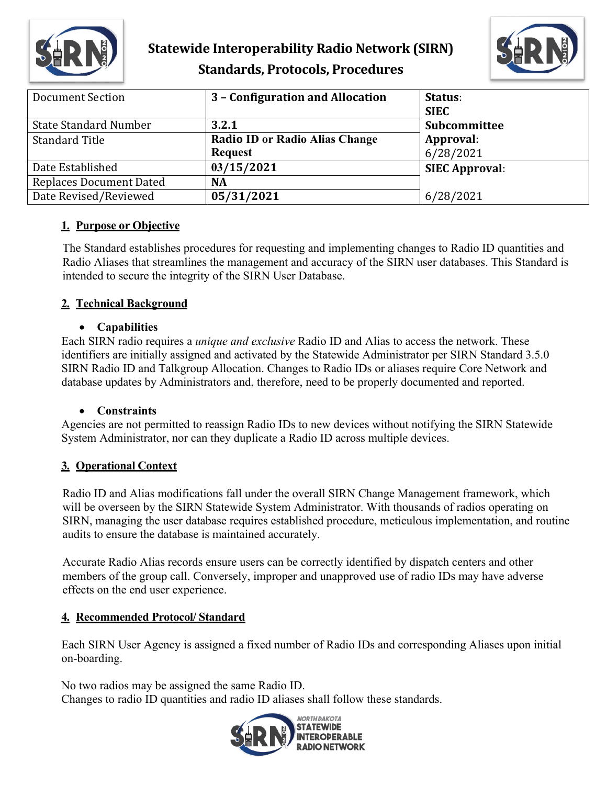

# **Statewide Interoperability Radio Network (SIRN) Standards, Protocols, Procedures**



| Document Section               | 3 - Configuration and Allocation                        | Status:<br><b>SIEC</b> |
|--------------------------------|---------------------------------------------------------|------------------------|
| <b>State Standard Number</b>   | 3.2.1                                                   | Subcommittee           |
| <b>Standard Title</b>          | <b>Radio ID or Radio Alias Change</b><br><b>Request</b> | Approval:<br>6/28/2021 |
| Date Established               | 03/15/2021                                              | <b>SIEC Approval:</b>  |
| <b>Replaces Document Dated</b> | NA                                                      |                        |
| Date Revised/Reviewed          | 05/31/2021                                              | 6/28/2021              |

#### **1. Purpose or Objective**

The Standard establishes procedures for requesting and implementing changes to Radio ID quantities and Radio Aliases that streamlines the management and accuracy of the SIRN user databases. This Standard is intended to secure the integrity of the SIRN User Database.

#### **2. Technical Background**

#### • **Capabilities**

Each SIRN radio requires a *unique and exclusive* Radio ID and Alias to access the network. These identifiers are initially assigned and activated by the Statewide Administrator per SIRN Standard 3.5.0 SIRN Radio ID and Talkgroup Allocation. Changes to Radio IDs or aliases require Core Network and database updates by Administrators and, therefore, need to be properly documented and reported.

#### • **Constraints**

Agencies are not permitted to reassign Radio IDs to new devices without notifying the SIRN Statewide System Administrator, nor can they duplicate a Radio ID across multiple devices.

## **3. Operational Context**

Radio ID and Alias modifications fall under the overall SIRN Change Management framework, which will be overseen by the SIRN Statewide System Administrator. With thousands of radios operating on SIRN, managing the user database requires established procedure, meticulous implementation, and routine audits to ensure the database is maintained accurately.

Accurate Radio Alias records ensure users can be correctly identified by dispatch centers and other members of the group call. Conversely, improper and unapproved use of radio IDs may have adverse effects on the end user experience.

## **4. Recommended Protocol/ Standard**

Each SIRN User Agency is assigned a fixed number of Radio IDs and corresponding Aliases upon initial on-boarding.

No two radios may be assigned the same Radio ID. Changes to radio ID quantities and radio ID aliases shall follow these standards.

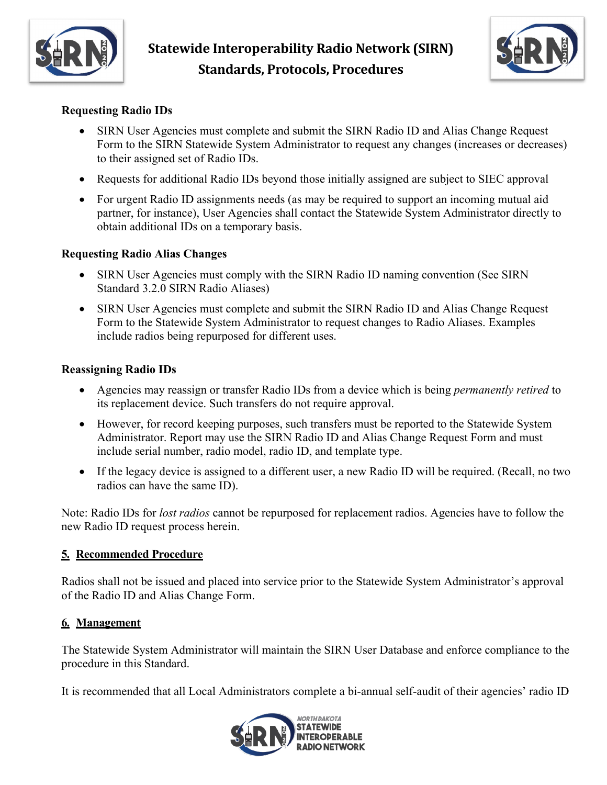



#### **Requesting Radio IDs**

- SIRN User Agencies must complete and submit the SIRN Radio ID and Alias Change Request Form to the SIRN Statewide System Administrator to request any changes (increases or decreases) to their assigned set of Radio IDs.
- Requests for additional Radio IDs beyond those initially assigned are subject to SIEC approval
- For urgent Radio ID assignments needs (as may be required to support an incoming mutual aid partner, for instance), User Agencies shall contact the Statewide System Administrator directly to obtain additional IDs on a temporary basis.

#### **Requesting Radio Alias Changes**

- SIRN User Agencies must comply with the SIRN Radio ID naming convention (See SIRN Standard 3.2.0 SIRN Radio Aliases)
- SIRN User Agencies must complete and submit the SIRN Radio ID and Alias Change Request Form to the Statewide System Administrator to request changes to Radio Aliases. Examples include radios being repurposed for different uses.

#### **Reassigning Radio IDs**

- Agencies may reassign or transfer Radio IDs from a device which is being *permanently retired* to its replacement device. Such transfers do not require approval.
- However, for record keeping purposes, such transfers must be reported to the Statewide System Administrator. Report may use the SIRN Radio ID and Alias Change Request Form and must include serial number, radio model, radio ID, and template type.
- If the legacy device is assigned to a different user, a new Radio ID will be required. (Recall, no two radios can have the same ID).

Note: Radio IDs for *lost radios* cannot be repurposed for replacement radios. Agencies have to follow the new Radio ID request process herein.

#### **5. Recommended Procedure**

Radios shall not be issued and placed into service prior to the Statewide System Administrator's approval of the Radio ID and Alias Change Form.

#### **6. Management**

The Statewide System Administrator will maintain the SIRN User Database and enforce compliance to the procedure in this Standard.

It is recommended that all Local Administrators complete a bi-annual self-audit of their agencies' radio ID